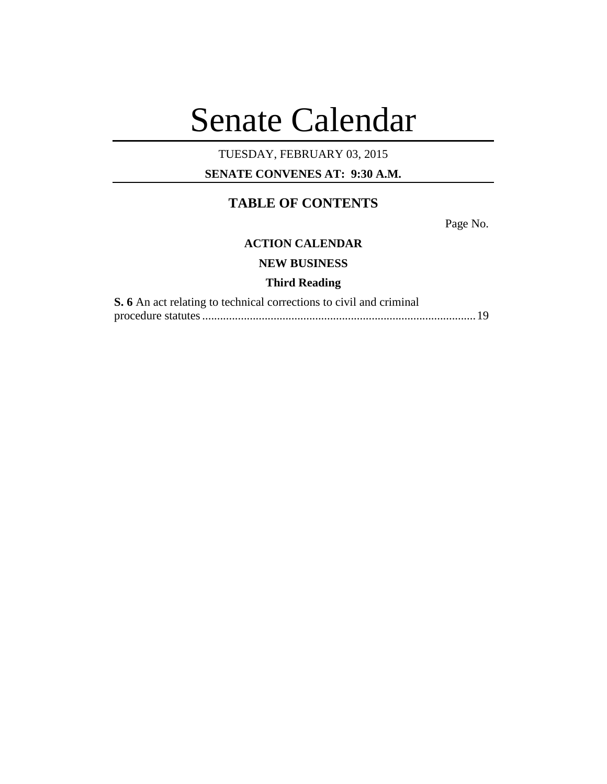# Senate Calendar

# TUESDAY, FEBRUARY 03, 2015

**SENATE CONVENES AT: 9:30 A.M.**

# **TABLE OF CONTENTS**

Page No.

## **ACTION CALENDAR**

**NEW BUSINESS**

### **Third Reading**

| <b>S.</b> 6 An act relating to technical corrections to civil and criminal |  |
|----------------------------------------------------------------------------|--|
|                                                                            |  |